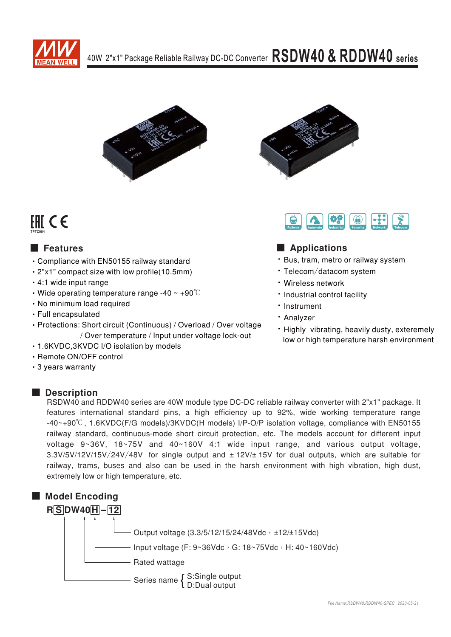



## FHI CE **TPTC004**

# ■ Features ■ **Applic**

- Compliance with EN50155 railway standard
- $\cdot$  2"x1" compact size with low profile(10.5mm)
- $\cdot$  4:1 wide input range
- $\cdot$  Wide operating temperature range -40 ~ +90°C
- No minimum load required
- $\cdot$  Full encapsulated
- Protections: Short circuit (Continuous) / Overload / Over voltage / Over temperature / Input under voltage lock-out
- 1.6KVDC,3KVDC I/O isolation by models
- · Remote ON/OFF control
- 3 years warranty





### **Applications**

- Bus, tram, metro or railway system
- · Telecom/datacom system
- Wireless network
- Industrial control facility
- Instrument
- · Analyzer
- Highly vibrating, heavily dusty, exteremely low or high temperature harsh environment

■ **Description** RSDW40 and RDDW40 series are 40W module type DC-DC reliable railway converter with 2"x1" package. It features international standard pins, a high efficiency up to 92%, wide working temperature range  $-40$   $+90^{\circ}$ C, 1.6KVDC(F/G models)/3KVDC(H models) I/P-O/P isolation voltage, compliance with EN50155 railway standard, continuous-mode short circuit protection, etc. The models account for different input voltage  $9~36V$ ,  $18~75V$  and  $40~160V$  4:1 wide input range, and various output voltage,  $3.3V/5V/12V/15V/24V/48V$  for single output and  $\pm$  12V/ $\pm$  15V for dual outputs, which are suitable for railway, trams, buses and also can be used in the harsh environment with high vibration, high dust, extremely low or high temperature, etc.

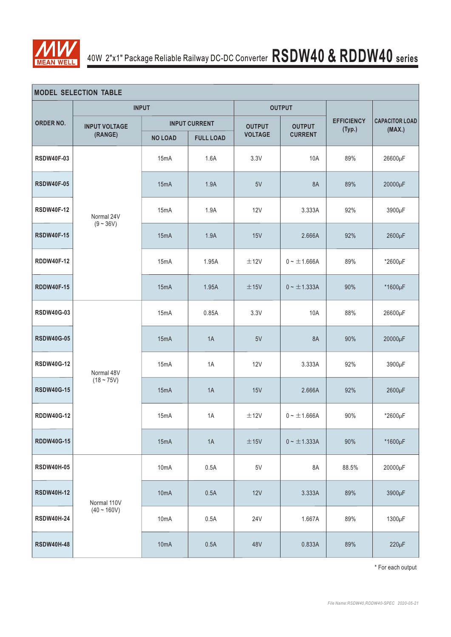

|                   | <b>MODEL SELECTION TABLE</b> |                           |                      |                |                  |                             |                                 |  |  |  |  |  |  |  |
|-------------------|------------------------------|---------------------------|----------------------|----------------|------------------|-----------------------------|---------------------------------|--|--|--|--|--|--|--|
|                   |                              | <b>INPUT</b>              |                      |                | <b>OUTPUT</b>    |                             |                                 |  |  |  |  |  |  |  |
| ORDER NO.         | <b>INPUT VOLTAGE</b>         |                           | <b>INPUT CURRENT</b> | <b>OUTPUT</b>  | <b>OUTPUT</b>    | <b>EFFICIENCY</b><br>(Typ.) | <b>CAPACITOR LOAD</b><br>(MAX.) |  |  |  |  |  |  |  |
|                   | (RANGE)                      | <b>NO LOAD</b>            | <b>FULL LOAD</b>     | <b>VOLTAGE</b> | <b>CURRENT</b>   |                             |                                 |  |  |  |  |  |  |  |
| <b>RSDW40F-03</b> |                              | 15mA                      | 1.6A                 | 3.3V           | 10A              | 89%                         | 26600µF                         |  |  |  |  |  |  |  |
| <b>RSDW40F-05</b> |                              | 15mA                      | 1.9A                 | 5V             | 8A               | 89%                         | 20000µF                         |  |  |  |  |  |  |  |
| <b>RSDW40F-12</b> | Normal 24V<br>$(9 - 36V)$    | 15mA                      | 1.9A                 | <b>12V</b>     | 3.333A           | 92%                         | 3900µF                          |  |  |  |  |  |  |  |
| <b>RSDW40F-15</b> |                              | 15mA                      | 1.9A                 | 15V            | 2.666A           | 92%                         | 2600µF                          |  |  |  |  |  |  |  |
| <b>RDDW40F-12</b> |                              | 15mA                      | 1.95A                | ±12V           | $0 - \pm 1.666A$ | 89%                         | *2600µF                         |  |  |  |  |  |  |  |
| <b>RDDW40F-15</b> |                              | 15mA                      | 1.95A                | ±15V           | $0 - \pm 1.333A$ | 90%                         | *1600µF                         |  |  |  |  |  |  |  |
| <b>RSDW40G-03</b> | Normal 48V                   | 15mA                      | 0.85A                | 3.3V           | 10A              | 88%                         | 26600µF                         |  |  |  |  |  |  |  |
| <b>RSDW40G-05</b> |                              | 15mA                      | 1A                   | 5V             | 8A               | 90%                         | 20000µF                         |  |  |  |  |  |  |  |
| <b>RSDW40G-12</b> |                              | 15mA                      | 1A                   | 12V            | 3.333A           | 92%                         | 3900µF                          |  |  |  |  |  |  |  |
| <b>RSDW40G-15</b> | $(18 - 75V)$                 | 15mA                      | 1A                   | 15V            | 2.666A           | 92%                         | 2600µF                          |  |  |  |  |  |  |  |
| <b>RDDW40G-12</b> |                              | 15mA                      | 1A                   | ±12V           | $0 - \pm 1.666A$ | 90%                         | *2600µF                         |  |  |  |  |  |  |  |
| <b>RDDW40G-15</b> |                              | 15mA                      | 1A                   | $\pm$ 15V      | $0 - \pm 1.333A$ | 90%                         | *1600µF                         |  |  |  |  |  |  |  |
| <b>RSDW40H-05</b> |                              | 10mA                      | 0.5A                 | $5\mathrm{V}$  | 8A               | 88.5%                       | 20000µF                         |  |  |  |  |  |  |  |
| <b>RSDW40H-12</b> | Normal 110V                  | 10 <sub>m</sub> A<br>0.5A |                      | 12V            | 3.333A           | 89%                         | 3900µF                          |  |  |  |  |  |  |  |
| <b>RSDW40H-24</b> | $(40 - 160V)$                | 10mA                      | 0.5A                 | 24V            | 1.667A           | 89%                         | 1300µF                          |  |  |  |  |  |  |  |
| <b>RSDW40H-48</b> |                              | 10 <sub>m</sub> A<br>0.5A |                      | 48V            | 0.833A           | 89%                         | $220\mu F$                      |  |  |  |  |  |  |  |

\* For each output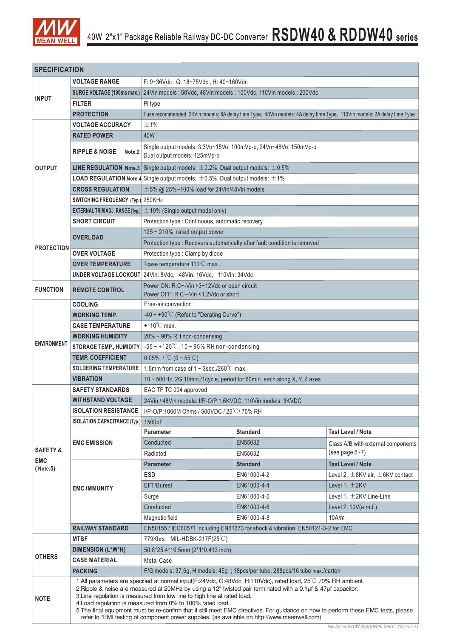

| <b>SPECIFICATION</b> |                                                                                                                                                                                                                                                                                                                                                                                                                                                                                                                                                                                                                 |                                                                                                   |                                                                                                                         |                                           |  |  |  |  |  |  |  |  |
|----------------------|-----------------------------------------------------------------------------------------------------------------------------------------------------------------------------------------------------------------------------------------------------------------------------------------------------------------------------------------------------------------------------------------------------------------------------------------------------------------------------------------------------------------------------------------------------------------------------------------------------------------|---------------------------------------------------------------------------------------------------|-------------------------------------------------------------------------------------------------------------------------|-------------------------------------------|--|--|--|--|--|--|--|--|
|                      | <b>VOLTAGE RANGE</b>                                                                                                                                                                                                                                                                                                                                                                                                                                                                                                                                                                                            | F: 9~36Vdc, G: 18~75Vdc, H: 40~160Vdc                                                             |                                                                                                                         |                                           |  |  |  |  |  |  |  |  |
|                      | SURGE VOLTAGE (100ms max.)                                                                                                                                                                                                                                                                                                                                                                                                                                                                                                                                                                                      | 24Vin models: 50Vdc, 48Vin models: 100Vdc, 110Vin models: 200Vdc                                  |                                                                                                                         |                                           |  |  |  |  |  |  |  |  |
| <b>INPUT</b>         | <b>FILTER</b>                                                                                                                                                                                                                                                                                                                                                                                                                                                                                                                                                                                                   | Pi type                                                                                           |                                                                                                                         |                                           |  |  |  |  |  |  |  |  |
|                      | <b>PROTECTION</b>                                                                                                                                                                                                                                                                                                                                                                                                                                                                                                                                                                                               |                                                                                                   | Fuse recommended. 24Vin models: 8A delay time Type, 48Vin models: 4A delay time Type, 110Vin models: 2A delay time Type |                                           |  |  |  |  |  |  |  |  |
|                      | <b>VOLTAGE ACCURACY</b>                                                                                                                                                                                                                                                                                                                                                                                                                                                                                                                                                                                         | ±1%                                                                                               |                                                                                                                         |                                           |  |  |  |  |  |  |  |  |
|                      | <b>RATED POWER</b>                                                                                                                                                                                                                                                                                                                                                                                                                                                                                                                                                                                              | 40W                                                                                               |                                                                                                                         |                                           |  |  |  |  |  |  |  |  |
|                      |                                                                                                                                                                                                                                                                                                                                                                                                                                                                                                                                                                                                                 | Single output models: 3.3Vo~15Vo: 100mVp-p, 24Vo~48Vo: 150mVp-p                                   |                                                                                                                         |                                           |  |  |  |  |  |  |  |  |
|                      | <b>RIPPLE &amp; NOISE</b><br>Note <sub>.2</sub>                                                                                                                                                                                                                                                                                                                                                                                                                                                                                                                                                                 | Dual output models: 125mVp-p                                                                      |                                                                                                                         |                                           |  |  |  |  |  |  |  |  |
| <b>OUTPUT</b>        |                                                                                                                                                                                                                                                                                                                                                                                                                                                                                                                                                                                                                 | <b>LINE REGULATION Note.3</b> Single output models: $\pm 0.2\%$ , Dual output models: $\pm 0.5\%$ |                                                                                                                         |                                           |  |  |  |  |  |  |  |  |
|                      |                                                                                                                                                                                                                                                                                                                                                                                                                                                                                                                                                                                                                 | <b>LOAD REGULATION Note.4</b> Single output models: $\pm$ 0.5%, Dual output models: $\pm$ 1%      |                                                                                                                         |                                           |  |  |  |  |  |  |  |  |
|                      | <b>CROSS REGULATION</b>                                                                                                                                                                                                                                                                                                                                                                                                                                                                                                                                                                                         | $\pm$ 5% @ 25%~100% load for 24Vin/48Vin models                                                   |                                                                                                                         |                                           |  |  |  |  |  |  |  |  |
|                      | SWITCHING FREQUENCY (Typ.) 250KHz                                                                                                                                                                                                                                                                                                                                                                                                                                                                                                                                                                               |                                                                                                   |                                                                                                                         |                                           |  |  |  |  |  |  |  |  |
|                      | <b>EXTERNAL TRIM ADJ. RANGE (Typ.)</b>                                                                                                                                                                                                                                                                                                                                                                                                                                                                                                                                                                          | $\pm$ 10% (Single output model only)                                                              |                                                                                                                         |                                           |  |  |  |  |  |  |  |  |
|                      | <b>SHORT CIRCUIT</b>                                                                                                                                                                                                                                                                                                                                                                                                                                                                                                                                                                                            | Protection type : Continuous, automatic recovery                                                  |                                                                                                                         |                                           |  |  |  |  |  |  |  |  |
|                      |                                                                                                                                                                                                                                                                                                                                                                                                                                                                                                                                                                                                                 | 125 ~ 210% rated output power                                                                     |                                                                                                                         |                                           |  |  |  |  |  |  |  |  |
|                      | <b>OVERLOAD</b>                                                                                                                                                                                                                                                                                                                                                                                                                                                                                                                                                                                                 | Protection type : Recovers automatically after fault condition is removed                         |                                                                                                                         |                                           |  |  |  |  |  |  |  |  |
| <b>PROTECTION</b>    | <b>OVER VOLTAGE</b>                                                                                                                                                                                                                                                                                                                                                                                                                                                                                                                                                                                             | Protection type : Clamp by diode                                                                  |                                                                                                                         |                                           |  |  |  |  |  |  |  |  |
|                      | <b>OVER TEMPERATURE</b>                                                                                                                                                                                                                                                                                                                                                                                                                                                                                                                                                                                         | Tcase temperature 110°C max.                                                                      |                                                                                                                         |                                           |  |  |  |  |  |  |  |  |
|                      |                                                                                                                                                                                                                                                                                                                                                                                                                                                                                                                                                                                                                 | UNDER VOLTAGE LOCKOUT 24Vin: 8Vdc, 48Vin: 16Vdc, 110Vin: 34Vdc                                    |                                                                                                                         |                                           |  |  |  |  |  |  |  |  |
|                      |                                                                                                                                                                                                                                                                                                                                                                                                                                                                                                                                                                                                                 | Power ON: R.C~-Vin >3~12Vdc or open circuit                                                       |                                                                                                                         |                                           |  |  |  |  |  |  |  |  |
| <b>FUNCTION</b>      | <b>REMOTE CONTROL</b>                                                                                                                                                                                                                                                                                                                                                                                                                                                                                                                                                                                           | Power OFF: R.C~-Vin <1.2Vdc or short                                                              |                                                                                                                         |                                           |  |  |  |  |  |  |  |  |
|                      | <b>COOLING</b>                                                                                                                                                                                                                                                                                                                                                                                                                                                                                                                                                                                                  | Free-air convection                                                                               |                                                                                                                         |                                           |  |  |  |  |  |  |  |  |
|                      | <b>WORKING TEMP.</b>                                                                                                                                                                                                                                                                                                                                                                                                                                                                                                                                                                                            | -40 ~ +90°C (Refer to "Derating Curve")                                                           |                                                                                                                         |                                           |  |  |  |  |  |  |  |  |
|                      | <b>CASE TEMPERATURE</b>                                                                                                                                                                                                                                                                                                                                                                                                                                                                                                                                                                                         | +110 $^{\circ}$ C max.                                                                            |                                                                                                                         |                                           |  |  |  |  |  |  |  |  |
| <b>ENVIRONMENT</b>   | <b>WORKING HUMIDITY</b>                                                                                                                                                                                                                                                                                                                                                                                                                                                                                                                                                                                         | $20\% \sim 90\%$ RH non-condensing                                                                |                                                                                                                         |                                           |  |  |  |  |  |  |  |  |
|                      | <b>STORAGE TEMP., HUMIDITY</b>                                                                                                                                                                                                                                                                                                                                                                                                                                                                                                                                                                                  | $-55$ ~ +125°C, 10 ~ 95% RH non-condensing                                                        |                                                                                                                         |                                           |  |  |  |  |  |  |  |  |
|                      | <b>TEMP. COEFFICIENT</b>                                                                                                                                                                                                                                                                                                                                                                                                                                                                                                                                                                                        | $0.05\%$ / °C (0 ~ 55°C)                                                                          |                                                                                                                         |                                           |  |  |  |  |  |  |  |  |
|                      | <b>SOLDERING TEMPERATURE</b>                                                                                                                                                                                                                                                                                                                                                                                                                                                                                                                                                                                    | 1.5mm from case of 1 ~ 3sec./260 $\degree$ C max.                                                 |                                                                                                                         |                                           |  |  |  |  |  |  |  |  |
|                      | <b>VIBRATION</b>                                                                                                                                                                                                                                                                                                                                                                                                                                                                                                                                                                                                | 10 ~ 500Hz, 2G 10min./1cycle, period for 60min. each along X, Y, Z axes                           |                                                                                                                         |                                           |  |  |  |  |  |  |  |  |
|                      | <b>SAFETY STANDARDS</b>                                                                                                                                                                                                                                                                                                                                                                                                                                                                                                                                                                                         | EAC TP TC 004 approved                                                                            |                                                                                                                         |                                           |  |  |  |  |  |  |  |  |
|                      | <b>WITHSTAND VOLTAGE</b>                                                                                                                                                                                                                                                                                                                                                                                                                                                                                                                                                                                        | 24Vin / 48Vin models: I/P-O/P 1.6KVDC, 110Vin models: 3KVDC                                       |                                                                                                                         |                                           |  |  |  |  |  |  |  |  |
|                      | <b>ISOLATION RESISTANCE</b>                                                                                                                                                                                                                                                                                                                                                                                                                                                                                                                                                                                     | I/P-O/P:1000M Ohms / 500VDC / 25 °C / 70% RH                                                      |                                                                                                                         |                                           |  |  |  |  |  |  |  |  |
|                      | <b>ISOLATION CAPACITANCE (Typ.)</b>                                                                                                                                                                                                                                                                                                                                                                                                                                                                                                                                                                             | 1500pF                                                                                            |                                                                                                                         |                                           |  |  |  |  |  |  |  |  |
|                      |                                                                                                                                                                                                                                                                                                                                                                                                                                                                                                                                                                                                                 | <b>Parameter</b>                                                                                  | <b>Standard</b>                                                                                                         | <b>Test Level / Note</b>                  |  |  |  |  |  |  |  |  |
| <b>SAFETY &amp;</b>  | <b>EMC EMISSION</b>                                                                                                                                                                                                                                                                                                                                                                                                                                                                                                                                                                                             | Conducted                                                                                         | EN55032                                                                                                                 | Class A/B with external components        |  |  |  |  |  |  |  |  |
| <b>EMC</b>           |                                                                                                                                                                                                                                                                                                                                                                                                                                                                                                                                                                                                                 | Radiated                                                                                          | EN55032                                                                                                                 | (see page $6-7$ )                         |  |  |  |  |  |  |  |  |
| ( Note.5)            |                                                                                                                                                                                                                                                                                                                                                                                                                                                                                                                                                                                                                 | <b>Parameter</b>                                                                                  | <b>Standard</b>                                                                                                         | <b>Test Level / Note</b>                  |  |  |  |  |  |  |  |  |
|                      |                                                                                                                                                                                                                                                                                                                                                                                                                                                                                                                                                                                                                 | ESD                                                                                               | EN61000-4-2                                                                                                             | Level 2, $\pm$ 8KV air, $\pm$ 6KV contact |  |  |  |  |  |  |  |  |
|                      | <b>EMC IMMUNITY</b>                                                                                                                                                                                                                                                                                                                                                                                                                                                                                                                                                                                             | EFT/Burest                                                                                        | EN61000-4-4                                                                                                             | Level 1, $\pm$ 2KV                        |  |  |  |  |  |  |  |  |
|                      |                                                                                                                                                                                                                                                                                                                                                                                                                                                                                                                                                                                                                 | Surge                                                                                             | EN61000-4-5                                                                                                             | Level 1, $\pm$ 2KV Line-Line              |  |  |  |  |  |  |  |  |
|                      |                                                                                                                                                                                                                                                                                                                                                                                                                                                                                                                                                                                                                 | Conducted                                                                                         | EN61000-4-6                                                                                                             | Level 2, 10V(e.m.f.)                      |  |  |  |  |  |  |  |  |
|                      |                                                                                                                                                                                                                                                                                                                                                                                                                                                                                                                                                                                                                 | EN61000-4-8<br>10A/m<br>Magnetic field                                                            |                                                                                                                         |                                           |  |  |  |  |  |  |  |  |
|                      | <b>RAILWAY STANDARD</b>                                                                                                                                                                                                                                                                                                                                                                                                                                                                                                                                                                                         | EN50155 / IEC60571 including EN61373 for shock & vibration, EN50121-3-2 for EMC                   |                                                                                                                         |                                           |  |  |  |  |  |  |  |  |
|                      | <b>MTBF</b>                                                                                                                                                                                                                                                                                                                                                                                                                                                                                                                                                                                                     | 779Khrs MIL-HDBK-217F(25°C)                                                                       |                                                                                                                         |                                           |  |  |  |  |  |  |  |  |
| <b>OTHERS</b>        | <b>DIMENSION (L*W*H)</b>                                                                                                                                                                                                                                                                                                                                                                                                                                                                                                                                                                                        | 50.8*25.4*10.5mm (2*1*0.413 inch)                                                                 |                                                                                                                         |                                           |  |  |  |  |  |  |  |  |
|                      | <b>CASE MATERIAL</b>                                                                                                                                                                                                                                                                                                                                                                                                                                                                                                                                                                                            | <b>Metal Case</b>                                                                                 |                                                                                                                         |                                           |  |  |  |  |  |  |  |  |
|                      | <b>PACKING</b>                                                                                                                                                                                                                                                                                                                                                                                                                                                                                                                                                                                                  |                                                                                                   | F/G models: 37.6g, H models: 45g; 18pcs/per tube, 288pcs/16 tube max./carton                                            |                                           |  |  |  |  |  |  |  |  |
| <b>NOTE</b>          | 1.All parameters are specified at normal input(F:24Vdc, G:48Vdc, H:110Vdc), rated load, 25°C 70% RH ambient.<br>2. Ripple & noise are measured at 20MHz by using a 12" twisted pair terminated with a 0.1µf & 47µf capacitor.<br>3. Line regulation is measured from low line to high line at rated load.<br>4. Load regulation is measured from 0% to 100% rated load.<br>5. The final equipment must be re-confirm that it still meet EMC directives. For guidance on how to perform these EMC tests, please<br>refer to "EMI testing of component power supplies." (as available on http://www.meanwell.com) |                                                                                                   |                                                                                                                         |                                           |  |  |  |  |  |  |  |  |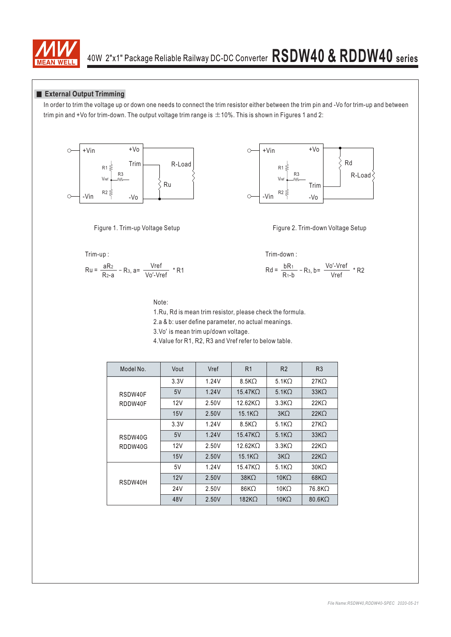

#### **External Output Trimming**

In order to trim the voltage up or down one needs to connect the trim resistor either between the trim pin and -Vo for trim-up and between trim pin and +Vo for trim-down. The output voltage trim range is  $\pm$ 10%. This is shown in Figures 1 and 2:







$$
Ru = \frac{aR_2}{R_2 - a} - R_3, a = \frac{Vref}{Vo' - Vref} * R1
$$
  

$$
Rd = \frac{bR_1}{R_1 - b} - R_3, b = \frac{Vo' - Vref}{Vref}
$$



Figure 2. Trim-down Voltage Setup

Trim-down :

$$
\frac{aR_2}{R_2-a} - R_3, a = \frac{Vref}{Vo' - Vref} * R1
$$
  

$$
Rd = \frac{bR_1}{R_1-b} - R_3, b = \frac{Vo' - Vref}{Vref} * R2
$$

Note:

1.Ru, Rd is mean trim resistor, please check the formula.

2.a & b: user define parameter, no actual meanings.

3. Vo' is mean trim up/down voltage.

4.Value for R1, R2, R3 and Vref refer to below table.

| Model No. | Vout            | Vref  | R <sub>1</sub>     | R <sub>2</sub>  | R <sub>3</sub>   |
|-----------|-----------------|-------|--------------------|-----------------|------------------|
|           | 3.3V            | 1.24V | $8.5K\Omega$       | 5.1 $K2$        | $27K\Omega$      |
| RSDW40F   | 5V              | 1.24V | $15.47$ KO         | $5.1K\Omega$    | $33K\Omega$      |
| RDDW40F   | 12V             | 2.50V | $12.62K\Omega$     | $3.3K\Omega$    | $22K\Omega$      |
|           | 15V             | 2.50V | 15.1 <sub>K</sub>  | 3K <sub>2</sub> | $22K\Omega$      |
|           | 3.3V            | 1.24V | $8.5K\Omega$       | 5.1 $K2$        | $27K\Omega$      |
| RSDW40G   | 5V              | 1.24V | $15.47$ K $\Omega$ | $5.1K\Omega$    | $33K\Omega$      |
| RDDW40G   | 12V             | 2.50V | $12.62K\Omega$     | $3.3K\Omega$    | $22K\Omega$      |
|           | 15V             | 2.50V | 15.1 <sub>K</sub>  | 3K <sub>2</sub> | $22K\Omega$      |
|           | 5V              | 1.24V | $15.47$ K $\Omega$ | 5.1 $K2$        | 30K <sub>2</sub> |
| RSDW40H   | 12V             | 2.50V | $38K\Omega$        | $10K\Omega$     | $68K\Omega$      |
|           | 24 <sub>V</sub> | 2.50V | $86K\Omega$        | 10K $\Omega$    | 76.8KQ           |
|           | 48V             | 2.50V | $182K\Omega$       | $10K\Omega$     | $80.6K\Omega$    |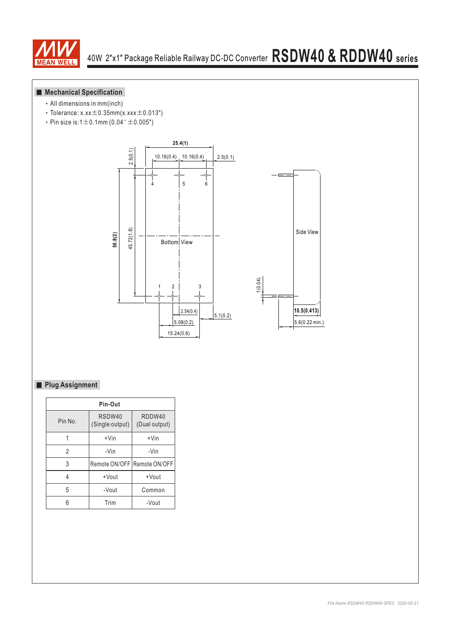

### **Mechanical Specification**

- All dimensions in mm(inch)
- $\cdot$  Tolerance: x.xx $\pm$ 0.35mm(x.xxx $\pm$ 0.013")
- Pin size is:1 $\pm$ 0.1mm (0.04" $\pm$ 0.005")



### **Plug Assignment**

| Pin-Out |                             |                         |  |  |  |  |  |  |  |  |
|---------|-----------------------------|-------------------------|--|--|--|--|--|--|--|--|
| Pin No. | RSDW40<br>(Single output)   | RDDW40<br>(Dual output) |  |  |  |  |  |  |  |  |
|         | $+V$ in                     | $+V$ in                 |  |  |  |  |  |  |  |  |
| 2       | -Vin                        | -Vin                    |  |  |  |  |  |  |  |  |
| 3       | Remote ON/OFF Remote ON/OFF |                         |  |  |  |  |  |  |  |  |
| 4       | +Vout                       | +Vout                   |  |  |  |  |  |  |  |  |
| 5       | -Vout                       | Common                  |  |  |  |  |  |  |  |  |
|         | Trim                        | -Vout                   |  |  |  |  |  |  |  |  |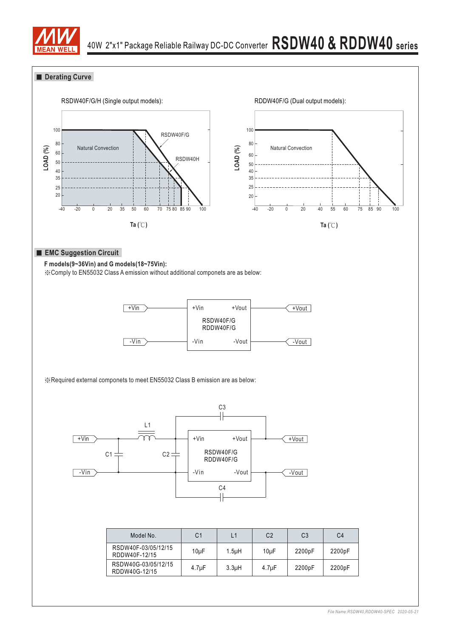

### **Derating Curve**